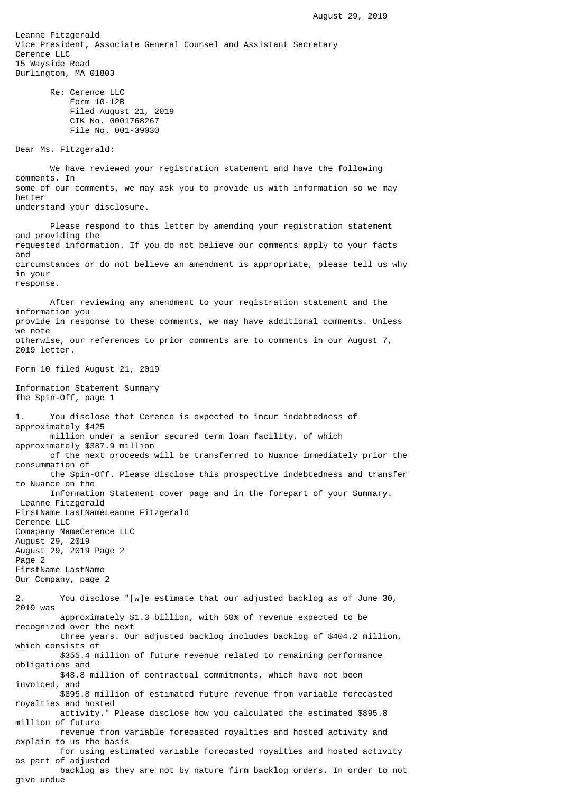Leanne Fitzgerald Vice President, Associate General Counsel and Assistant Secretary Cerence LLC 15 Wayside Road Burlington, MA 01803 Re: Cerence LLC Form 10-12B Filed August 21, 2019 CIK No. 0001768267 File No. 001-39030 Dear Ms. Fitzgerald: We have reviewed your registration statement and have the following comments. In some of our comments, we may ask you to provide us with information so we may better understand your disclosure. Please respond to this letter by amending your registration statement and providing the requested information. If you do not believe our comments apply to your facts and circumstances or do not believe an amendment is appropriate, please tell us why in your response. After reviewing any amendment to your registration statement and the information you provide in response to these comments, we may have additional comments. Unless we note otherwise, our references to prior comments are to comments in our August 7, 2019 letter. Form 10 filed August 21, 2019 Information Statement Summary The Spin-Off, page 1 1. You disclose that Cerence is expected to incur indebtedness of approximately \$425 million under a senior secured term loan facility, of which approximately \$387.9 million of the next proceeds will be transferred to Nuance immediately prior the consummation of the Spin-Off. Please disclose this prospective indebtedness and transfer to Nuance on the Information Statement cover page and in the forepart of your Summary. Leanne Fitzgerald FirstName LastNameLeanne Fitzgerald Cerence LLC Comapany NameCerence LLC August 29, 2019 August 29, 2019 Page 2 Page 2 FirstName LastName Our Company, page 2 2. You disclose "[w]e estimate that our adjusted backlog as of June 30, 2019 was approximately \$1.3 billion, with 50% of revenue expected to be recognized over the next three years. Our adjusted backlog includes backlog of \$404.2 million, which consists of \$355.4 million of future revenue related to remaining performance obligations and \$48.8 million of contractual commitments, which have not been invoiced, and \$895.8 million of estimated future revenue from variable forecasted royalties and hosted activity." Please disclose how you calculated the estimated \$895.8 million of future revenue from variable forecasted royalties and hosted activity and explain to us the basis for using estimated variable forecasted royalties and hosted activity as part of adjusted

 backlog as they are not by nature firm backlog orders. In order to not give undue